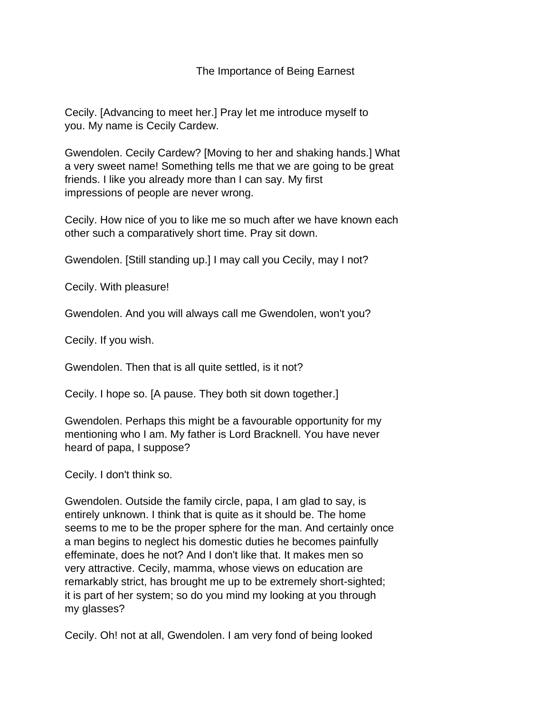## The Importance of Being Earnest

Cecily. [Advancing to meet her.] Pray let me introduce myself to you. My name is Cecily Cardew.

Gwendolen. Cecily Cardew? [Moving to her and shaking hands.] What a very sweet name! Something tells me that we are going to be great friends. I like you already more than I can say. My first impressions of people are never wrong.

Cecily. How nice of you to like me so much after we have known each other such a comparatively short time. Pray sit down.

Gwendolen. [Still standing up.] I may call you Cecily, may I not?

Cecily. With pleasure!

Gwendolen. And you will always call me Gwendolen, won't you?

Cecily. If you wish.

Gwendolen. Then that is all quite settled, is it not?

Cecily. I hope so. [A pause. They both sit down together.]

Gwendolen. Perhaps this might be a favourable opportunity for my mentioning who I am. My father is Lord Bracknell. You have never heard of papa, I suppose?

Cecily. I don't think so.

Gwendolen. Outside the family circle, papa, I am glad to say, is entirely unknown. I think that is quite as it should be. The home seems to me to be the proper sphere for the man. And certainly once a man begins to neglect his domestic duties he becomes painfully effeminate, does he not? And I don't like that. It makes men so very attractive. Cecily, mamma, whose views on education are remarkably strict, has brought me up to be extremely short-sighted; it is part of her system; so do you mind my looking at you through my glasses?

Cecily. Oh! not at all, Gwendolen. I am very fond of being looked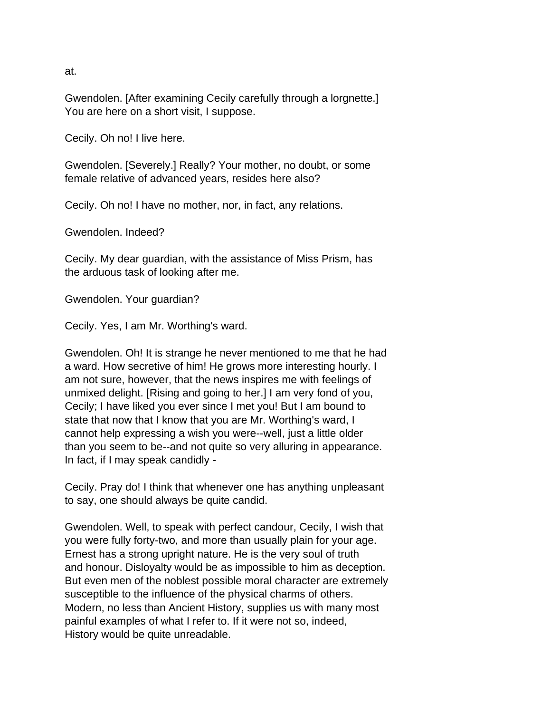at.

Gwendolen. [After examining Cecily carefully through a lorgnette.] You are here on a short visit, I suppose.

Cecily. Oh no! I live here.

Gwendolen. [Severely.] Really? Your mother, no doubt, or some female relative of advanced years, resides here also?

Cecily. Oh no! I have no mother, nor, in fact, any relations.

Gwendolen. Indeed?

Cecily. My dear guardian, with the assistance of Miss Prism, has the arduous task of looking after me.

Gwendolen. Your guardian?

Cecily. Yes, I am Mr. Worthing's ward.

Gwendolen. Oh! It is strange he never mentioned to me that he had a ward. How secretive of him! He grows more interesting hourly. I am not sure, however, that the news inspires me with feelings of unmixed delight. [Rising and going to her.] I am very fond of you, Cecily; I have liked you ever since I met you! But I am bound to state that now that I know that you are Mr. Worthing's ward, I cannot help expressing a wish you were--well, just a little older than you seem to be--and not quite so very alluring in appearance. In fact, if I may speak candidly -

Cecily. Pray do! I think that whenever one has anything unpleasant to say, one should always be quite candid.

Gwendolen. Well, to speak with perfect candour, Cecily, I wish that you were fully forty-two, and more than usually plain for your age. Ernest has a strong upright nature. He is the very soul of truth and honour. Disloyalty would be as impossible to him as deception. But even men of the noblest possible moral character are extremely susceptible to the influence of the physical charms of others. Modern, no less than Ancient History, supplies us with many most painful examples of what I refer to. If it were not so, indeed, History would be quite unreadable.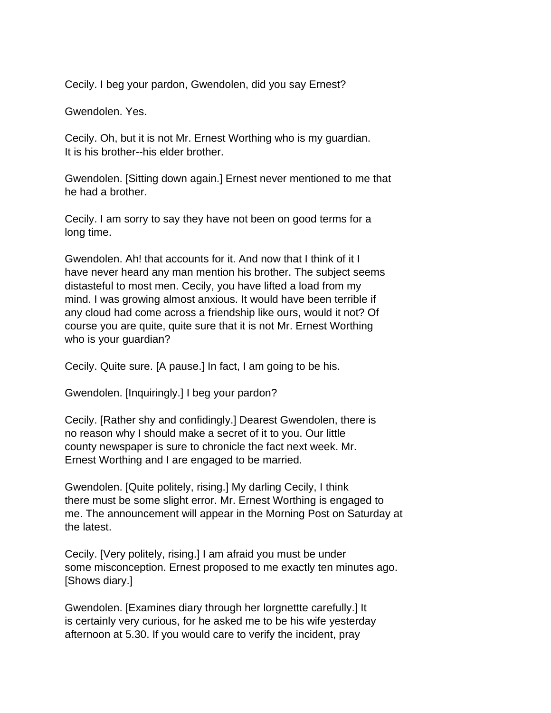Cecily. I beg your pardon, Gwendolen, did you say Ernest?

Gwendolen. Yes.

Cecily. Oh, but it is not Mr. Ernest Worthing who is my guardian. It is his brother--his elder brother.

Gwendolen. [Sitting down again.] Ernest never mentioned to me that he had a brother.

Cecily. I am sorry to say they have not been on good terms for a long time.

Gwendolen. Ah! that accounts for it. And now that I think of it I have never heard any man mention his brother. The subject seems distasteful to most men. Cecily, you have lifted a load from my mind. I was growing almost anxious. It would have been terrible if any cloud had come across a friendship like ours, would it not? Of course you are quite, quite sure that it is not Mr. Ernest Worthing who is your guardian?

Cecily. Quite sure. [A pause.] In fact, I am going to be his.

Gwendolen. [Inquiringly.] I beg your pardon?

Cecily. [Rather shy and confidingly.] Dearest Gwendolen, there is no reason why I should make a secret of it to you. Our little county newspaper is sure to chronicle the fact next week. Mr. Ernest Worthing and I are engaged to be married.

Gwendolen. [Quite politely, rising.] My darling Cecily, I think there must be some slight error. Mr. Ernest Worthing is engaged to me. The announcement will appear in the Morning Post on Saturday at the latest.

Cecily. [Very politely, rising.] I am afraid you must be under some misconception. Ernest proposed to me exactly ten minutes ago. [Shows diary.]

Gwendolen. [Examines diary through her lorgnettte carefully.] It is certainly very curious, for he asked me to be his wife yesterday afternoon at 5.30. If you would care to verify the incident, pray